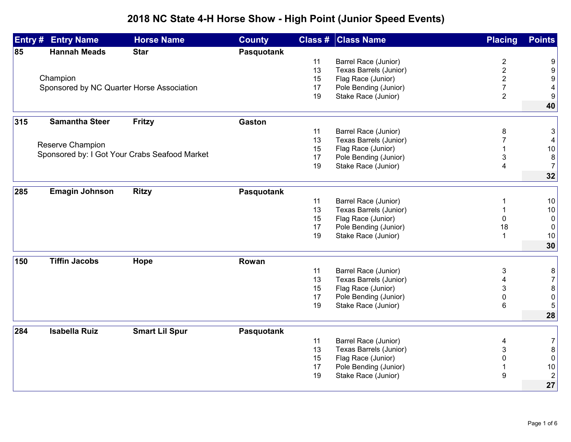## **2018 NC State 4-H Horse Show - High Point (Junior Speed Events)**

| Entry # | <b>Entry Name</b>                         | <b>Horse Name</b>                             | <b>County</b> |    | <b>Class # Class Name</b>                      | <b>Placing</b>          | <b>Points</b>             |
|---------|-------------------------------------------|-----------------------------------------------|---------------|----|------------------------------------------------|-------------------------|---------------------------|
| 85      | <b>Hannah Meads</b>                       | <b>Star</b>                                   | Pasquotank    |    |                                                |                         |                           |
|         |                                           |                                               |               | 11 | Barrel Race (Junior)                           | 2                       | 9                         |
|         |                                           |                                               |               | 13 | Texas Barrels (Junior)                         | $\overline{2}$          | $\boldsymbol{9}$          |
|         | Champion                                  |                                               |               | 15 | Flag Race (Junior)                             | $\overline{\mathbf{c}}$ | $\boldsymbol{9}$          |
|         | Sponsored by NC Quarter Horse Association |                                               |               | 17 | Pole Bending (Junior)                          | $\overline{7}$          | 4                         |
|         |                                           |                                               |               | 19 | Stake Race (Junior)                            | $\overline{2}$          | $\boldsymbol{9}$          |
|         |                                           |                                               |               |    |                                                |                         | 40                        |
| 315     | <b>Samantha Steer</b>                     | <b>Fritzy</b>                                 | <b>Gaston</b> |    |                                                |                         |                           |
|         |                                           |                                               |               | 11 | Barrel Race (Junior)                           | 8                       | $\mathsf 3$               |
|         |                                           |                                               |               | 13 | Texas Barrels (Junior)                         |                         | 4                         |
|         | Reserve Champion                          |                                               |               | 15 | Flag Race (Junior)                             |                         | $10\,$                    |
|         |                                           | Sponsored by: I Got Your Crabs Seafood Market |               | 17 | Pole Bending (Junior)                          | 3                       | $\bf8$                    |
|         |                                           |                                               |               | 19 | Stake Race (Junior)                            | 4                       | 7                         |
|         |                                           |                                               |               |    |                                                |                         | 32                        |
| 285     | <b>Emagin Johnson</b>                     | <b>Ritzy</b>                                  | Pasquotank    |    |                                                |                         |                           |
|         |                                           |                                               |               | 11 | Barrel Race (Junior)                           |                         | 10                        |
|         |                                           |                                               |               | 13 | Texas Barrels (Junior)                         |                         | 10                        |
|         |                                           |                                               |               | 15 | Flag Race (Junior)                             | $\Omega$                | $\mathbf 0$               |
|         |                                           |                                               |               | 17 | Pole Bending (Junior)                          | 18                      | 0                         |
|         |                                           |                                               |               | 19 | Stake Race (Junior)                            | 1                       | 10                        |
|         |                                           |                                               |               |    |                                                |                         | 30                        |
| 150     | <b>Tiffin Jacobs</b>                      | Hope                                          | Rowan         |    |                                                |                         |                           |
|         |                                           |                                               |               | 11 | Barrel Race (Junior)                           | 3                       |                           |
|         |                                           |                                               |               | 13 | Texas Barrels (Junior)                         |                         | 8<br>$\sqrt{7}$           |
|         |                                           |                                               |               | 15 | Flag Race (Junior)                             | 3                       | $\bf 8$                   |
|         |                                           |                                               |               | 17 | Pole Bending (Junior)                          | 0                       | $\pmb{0}$                 |
|         |                                           |                                               |               | 19 | Stake Race (Junior)                            | 6                       | 5                         |
|         |                                           |                                               |               |    |                                                |                         | 28                        |
| 284     | <b>Isabella Ruiz</b>                      | <b>Smart Lil Spur</b>                         | Pasquotank    |    |                                                |                         |                           |
|         |                                           |                                               |               | 11 |                                                |                         |                           |
|         |                                           |                                               |               | 13 | Barrel Race (Junior)<br>Texas Barrels (Junior) | 4<br>3                  | $\overline{7}$<br>$\bf 8$ |
|         |                                           |                                               |               | 15 | Flag Race (Junior)                             | 0                       | $\pmb{0}$                 |
|         |                                           |                                               |               | 17 | Pole Bending (Junior)                          |                         | $10$                      |
|         |                                           |                                               |               | 19 | Stake Race (Junior)                            | 9                       | $\sqrt{2}$                |
|         |                                           |                                               |               |    |                                                |                         | 27                        |
|         |                                           |                                               |               |    |                                                |                         |                           |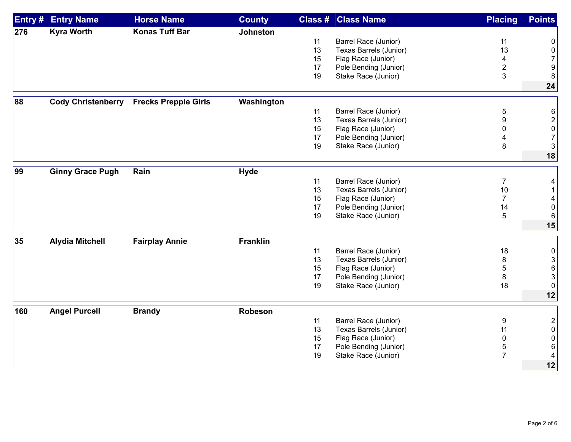| Entry# | <b>Entry Name</b>         | <b>Horse Name</b>           | <b>County</b>   |    | <b>Class # Class Name</b>     | <b>Placing</b> | <b>Points</b>             |
|--------|---------------------------|-----------------------------|-----------------|----|-------------------------------|----------------|---------------------------|
| 276    | <b>Kyra Worth</b>         | <b>Konas Tuff Bar</b>       | <b>Johnston</b> |    |                               |                |                           |
|        |                           |                             |                 | 11 | Barrel Race (Junior)          | 11             | 0                         |
|        |                           |                             |                 | 13 | Texas Barrels (Junior)        | 13             | $\pmb{0}$                 |
|        |                           |                             |                 | 15 | Flag Race (Junior)            | 4              | $\overline{7}$            |
|        |                           |                             |                 | 17 | Pole Bending (Junior)         | $\overline{c}$ | $\boldsymbol{9}$          |
|        |                           |                             |                 | 19 | Stake Race (Junior)           | 3              | 8                         |
|        |                           |                             |                 |    |                               |                | 24                        |
| 88     | <b>Cody Christenberry</b> | <b>Frecks Preppie Girls</b> | Washington      |    |                               |                |                           |
|        |                           |                             |                 | 11 | Barrel Race (Junior)          | 5              | 6                         |
|        |                           |                             |                 | 13 | <b>Texas Barrels (Junior)</b> | 9              | $\overline{2}$            |
|        |                           |                             |                 | 15 | Flag Race (Junior)            | 0              | $\pmb{0}$                 |
|        |                           |                             |                 | 17 | Pole Bending (Junior)         |                | $\sqrt{7}$                |
|        |                           |                             |                 | 19 | Stake Race (Junior)           | 8              | $\sqrt{3}$                |
|        |                           |                             |                 |    |                               |                | 18                        |
|        |                           |                             |                 |    |                               |                |                           |
| 99     | <b>Ginny Grace Pugh</b>   | Rain                        | <b>Hyde</b>     |    |                               |                |                           |
|        |                           |                             |                 | 11 | Barrel Race (Junior)          | $\overline{7}$ | 4                         |
|        |                           |                             |                 | 13 | Texas Barrels (Junior)        | 10             | $\mathbf{1}$              |
|        |                           |                             |                 | 15 | Flag Race (Junior)            | $\overline{7}$ | $\overline{\mathbf{4}}$   |
|        |                           |                             |                 | 17 | Pole Bending (Junior)         | 14             | $\pmb{0}$                 |
|        |                           |                             |                 | 19 | Stake Race (Junior)           | 5              | $\,6$                     |
|        |                           |                             |                 |    |                               |                | 15                        |
| 35     | <b>Alydia Mitchell</b>    | <b>Fairplay Annie</b>       | <b>Franklin</b> |    |                               |                |                           |
|        |                           |                             |                 | 11 | Barrel Race (Junior)          | 18             | $\pmb{0}$                 |
|        |                           |                             |                 | 13 | Texas Barrels (Junior)        | 8              | $\ensuremath{\mathsf{3}}$ |
|        |                           |                             |                 | 15 | Flag Race (Junior)            | 5              | $\,6$                     |
|        |                           |                             |                 | 17 | Pole Bending (Junior)         | 8              | $\ensuremath{\mathsf{3}}$ |
|        |                           |                             |                 | 19 | Stake Race (Junior)           | 18             | $\pmb{0}$                 |
|        |                           |                             |                 |    |                               |                | 12                        |
| 160    | <b>Angel Purcell</b>      | <b>Brandy</b>               | Robeson         |    |                               |                |                           |
|        |                           |                             |                 | 11 | Barrel Race (Junior)          | 9              | $\overline{\mathbf{c}}$   |
|        |                           |                             |                 | 13 | Texas Barrels (Junior)        | 11             | $\pmb{0}$                 |
|        |                           |                             |                 | 15 | Flag Race (Junior)            | $\mathbf 0$    | $\pmb{0}$                 |
|        |                           |                             |                 | 17 | Pole Bending (Junior)         | 5              | 6                         |
|        |                           |                             |                 | 19 | Stake Race (Junior)           | $\overline{7}$ | 4                         |
|        |                           |                             |                 |    |                               |                | 12                        |
|        |                           |                             |                 |    |                               |                |                           |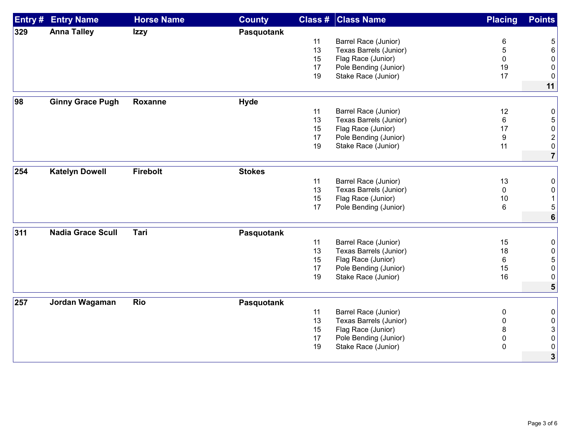| Entry # | <b>Entry Name</b>        | <b>Horse Name</b> | <b>County</b> | Class # | <b>Class Name</b>                              | <b>Placing</b>     | <b>Points</b>    |
|---------|--------------------------|-------------------|---------------|---------|------------------------------------------------|--------------------|------------------|
| 329     | <b>Anna Talley</b>       | <b>Izzy</b>       | Pasquotank    |         |                                                |                    |                  |
|         |                          |                   |               | 11      | Barrel Race (Junior)                           | 6                  | 5                |
|         |                          |                   |               | 13      | Texas Barrels (Junior)                         | 5                  | $6\phantom{1}$   |
|         |                          |                   |               | 15      | Flag Race (Junior)                             | 0                  | 0                |
|         |                          |                   |               | 17      | Pole Bending (Junior)                          | 19                 | 0                |
|         |                          |                   |               | 19      | Stake Race (Junior)                            | 17                 | 0                |
|         |                          |                   |               |         |                                                |                    | 11               |
| 98      | <b>Ginny Grace Pugh</b>  | <b>Roxanne</b>    | <b>Hyde</b>   |         |                                                |                    |                  |
|         |                          |                   |               | 11      | Barrel Race (Junior)                           | 12                 | 0                |
|         |                          |                   |               | 13      | Texas Barrels (Junior)                         | 6                  | $\sqrt{5}$       |
|         |                          |                   |               | 15      | Flag Race (Junior)                             | 17                 | 0                |
|         |                          |                   |               | 17      | Pole Bending (Junior)                          | 9                  | $\boldsymbol{2}$ |
|         |                          |                   |               | 19      | Stake Race (Junior)                            | 11                 | 0                |
|         |                          |                   |               |         |                                                |                    | $\overline{7}$   |
| 254     | <b>Katelyn Dowell</b>    | <b>Firebolt</b>   | <b>Stokes</b> |         |                                                |                    |                  |
|         |                          |                   |               | 11      |                                                |                    |                  |
|         |                          |                   |               | 13      | Barrel Race (Junior)<br>Texas Barrels (Junior) | 13<br>$\mathbf{0}$ | 0<br>$\mathbf 0$ |
|         |                          |                   |               | 15      | Flag Race (Junior)                             | 10                 | $\mathbf{1}$     |
|         |                          |                   |               | 17      | Pole Bending (Junior)                          | 6                  | 5                |
|         |                          |                   |               |         |                                                |                    | $6\phantom{a}$   |
|         |                          |                   |               |         |                                                |                    |                  |
| 311     | <b>Nadia Grace Scull</b> | Tari              | Pasquotank    |         |                                                |                    |                  |
|         |                          |                   |               | 11      | Barrel Race (Junior)                           | 15                 | 0                |
|         |                          |                   |               | 13      | Texas Barrels (Junior)                         | 18                 | $\boldsymbol{0}$ |
|         |                          |                   |               | 15      | Flag Race (Junior)                             | 6                  | 5                |
|         |                          |                   |               | 17      | Pole Bending (Junior)                          | 15                 | 0                |
|         |                          |                   |               | 19      | Stake Race (Junior)                            | 16                 | 0                |
|         |                          |                   |               |         |                                                |                    | 5                |
| 257     | Jordan Wagaman           | <b>Rio</b>        | Pasquotank    |         |                                                |                    |                  |
|         |                          |                   |               | 11      | Barrel Race (Junior)                           | 0                  | 0                |
|         |                          |                   |               | 13      | Texas Barrels (Junior)                         | 0                  | 0                |
|         |                          |                   |               | 15      | Flag Race (Junior)                             | 8                  | 3                |
|         |                          |                   |               | 17      | Pole Bending (Junior)                          | 0                  | 0                |
|         |                          |                   |               | 19      | Stake Race (Junior)                            | $\mathbf 0$        | 0                |
|         |                          |                   |               |         |                                                |                    | 3                |
|         |                          |                   |               |         |                                                |                    |                  |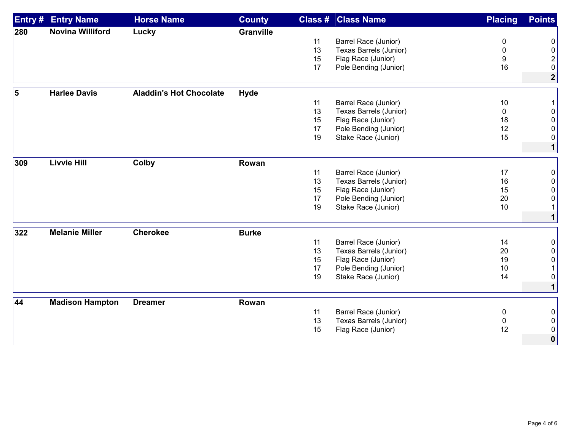| Entry# | <b>Entry Name</b>       | <b>Horse Name</b>              | <b>County</b>    |    | <b>Class # Class Name</b> | <b>Placing</b> | <b>Points</b>  |
|--------|-------------------------|--------------------------------|------------------|----|---------------------------|----------------|----------------|
| 280    | <b>Novina Williford</b> | Lucky                          | <b>Granville</b> |    |                           |                |                |
|        |                         |                                |                  | 11 | Barrel Race (Junior)      | 0              | 0              |
|        |                         |                                |                  | 13 | Texas Barrels (Junior)    | 0              | 0              |
|        |                         |                                |                  | 15 | Flag Race (Junior)        | 9              | $\overline{2}$ |
|        |                         |                                |                  | 17 | Pole Bending (Junior)     | 16             | 0              |
|        |                         |                                |                  |    |                           |                | $\mathbf{2}$   |
| 5      | <b>Harlee Davis</b>     | <b>Aladdin's Hot Chocolate</b> | <b>Hyde</b>      |    |                           |                |                |
|        |                         |                                |                  | 11 | Barrel Race (Junior)      | 10             |                |
|        |                         |                                |                  | 13 | Texas Barrels (Junior)    | $\mathbf{0}$   | 0              |
|        |                         |                                |                  | 15 | Flag Race (Junior)        | 18             | 0              |
|        |                         |                                |                  | 17 | Pole Bending (Junior)     | 12             | 0              |
|        |                         |                                |                  | 19 | Stake Race (Junior)       | 15             | 0              |
|        |                         |                                |                  |    |                           |                | $\mathbf 1$    |
| 309    | <b>Livvie Hill</b>      | Colby                          | Rowan            |    |                           |                |                |
|        |                         |                                |                  | 11 | Barrel Race (Junior)      | 17             | 0              |
|        |                         |                                |                  | 13 | Texas Barrels (Junior)    | 16             | 0              |
|        |                         |                                |                  | 15 | Flag Race (Junior)        | 15             | 0              |
|        |                         |                                |                  | 17 | Pole Bending (Junior)     | 20             | 0              |
|        |                         |                                |                  | 19 | Stake Race (Junior)       | 10             | $\mathbf{1}$   |
|        |                         |                                |                  |    |                           |                | $\mathbf{1}$   |
| 322    | <b>Melanie Miller</b>   | <b>Cherokee</b>                | <b>Burke</b>     |    |                           |                |                |
|        |                         |                                |                  | 11 | Barrel Race (Junior)      | 14             | 0              |
|        |                         |                                |                  | 13 | Texas Barrels (Junior)    | 20             | 0              |
|        |                         |                                |                  | 15 | Flag Race (Junior)        | 19             | 0              |
|        |                         |                                |                  | 17 | Pole Bending (Junior)     | 10             | 1              |
|        |                         |                                |                  | 19 | Stake Race (Junior)       | 14             | 0              |
|        |                         |                                |                  |    |                           |                | $\mathbf{1}$   |
| 44     | <b>Madison Hampton</b>  | <b>Dreamer</b>                 | Rowan            |    |                           |                |                |
|        |                         |                                |                  | 11 | Barrel Race (Junior)      | 0              | 0              |
|        |                         |                                |                  | 13 | Texas Barrels (Junior)    | 0              | 0              |
|        |                         |                                |                  | 15 | Flag Race (Junior)        | 12             | 0              |
|        |                         |                                |                  |    |                           |                | $\bf{0}$       |
|        |                         |                                |                  |    |                           |                |                |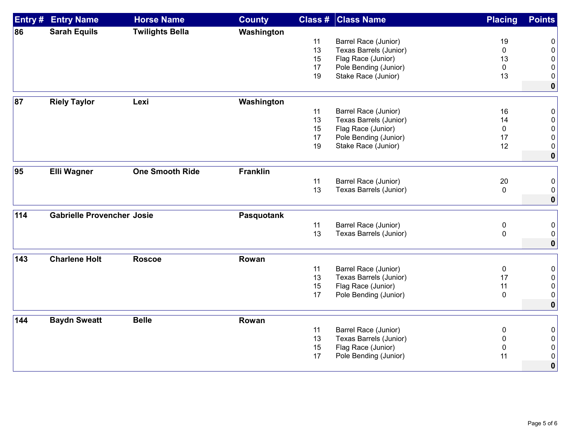| <b>Entry#</b> | <b>Entry Name</b>                 | <b>Horse Name</b>      | <b>County</b>   | Class #  | <b>Class Name</b>                           | <b>Placing</b>        | <b>Points</b> |
|---------------|-----------------------------------|------------------------|-----------------|----------|---------------------------------------------|-----------------------|---------------|
| 86            | <b>Sarah Equils</b>               | <b>Twilights Bella</b> | Washington      |          |                                             |                       |               |
|               |                                   |                        |                 | 11       | Barrel Race (Junior)                        | 19                    | 0             |
|               |                                   |                        |                 | 13       | Texas Barrels (Junior)                      | $\mathbf 0$           | $\mathbf 0$   |
|               |                                   |                        |                 | 15       | Flag Race (Junior)                          | 13                    | 0             |
|               |                                   |                        |                 | 17       | Pole Bending (Junior)                       | 0                     | 0             |
|               |                                   |                        |                 | 19       | Stake Race (Junior)                         | 13                    | 0             |
|               |                                   |                        |                 |          |                                             |                       | $\mathbf 0$   |
| 87            | <b>Riely Taylor</b>               | Lexi                   | Washington      |          |                                             |                       |               |
|               |                                   |                        |                 | 11       | Barrel Race (Junior)                        | 16                    | 0             |
|               |                                   |                        |                 | 13       | Texas Barrels (Junior)                      | 14                    | 0             |
|               |                                   |                        |                 | 15       | Flag Race (Junior)                          | $\mathbf 0$           | $\mathbf{0}$  |
|               |                                   |                        |                 | 17       | Pole Bending (Junior)                       | 17                    | 0             |
|               |                                   |                        |                 | 19       | Stake Race (Junior)                         | 12                    | 0             |
|               |                                   |                        |                 |          |                                             |                       | $\mathbf 0$   |
| 95            | <b>Elli Wagner</b>                | <b>One Smooth Ride</b> | <b>Franklin</b> |          |                                             |                       |               |
|               |                                   |                        |                 |          |                                             |                       |               |
|               |                                   |                        |                 | 11<br>13 | Barrel Race (Junior)                        | $20\,$<br>$\mathbf 0$ | 0             |
|               |                                   |                        |                 |          | Texas Barrels (Junior)                      |                       | 0             |
|               |                                   |                        |                 |          |                                             |                       | $\mathbf 0$   |
| 114           | <b>Gabrielle Provencher Josie</b> |                        | Pasquotank      |          |                                             |                       |               |
|               |                                   |                        |                 | 11       | Barrel Race (Junior)                        | $\boldsymbol{0}$      | 0             |
|               |                                   |                        |                 | 13       | Texas Barrels (Junior)                      | $\pmb{0}$             | 0             |
|               |                                   |                        |                 |          |                                             |                       | $\mathbf 0$   |
| 143           | <b>Charlene Holt</b>              | <b>Roscoe</b>          | Rowan           |          |                                             |                       |               |
|               |                                   |                        |                 | 11       | Barrel Race (Junior)                        | $\pmb{0}$             | 0             |
|               |                                   |                        |                 | 13       | Texas Barrels (Junior)                      | 17                    | 0             |
|               |                                   |                        |                 | 15       | Flag Race (Junior)                          | 11                    | $\mathbf 0$   |
|               |                                   |                        |                 | 17       | Pole Bending (Junior)                       | $\mathbf 0$           | 0             |
|               |                                   |                        |                 |          |                                             |                       | $\mathbf 0$   |
|               |                                   |                        |                 |          |                                             |                       |               |
| 144           | <b>Baydn Sweatt</b>               | <b>Belle</b>           | Rowan           |          |                                             |                       |               |
|               |                                   |                        |                 | 11<br>13 | Barrel Race (Junior)                        | $\pmb{0}$             | 0             |
|               |                                   |                        |                 | 15       | Texas Barrels (Junior)                      | 0                     | 0             |
|               |                                   |                        |                 | 17       | Flag Race (Junior)<br>Pole Bending (Junior) | 0<br>11               | 0<br>0        |
|               |                                   |                        |                 |          |                                             |                       |               |
|               |                                   |                        |                 |          |                                             |                       | $\mathbf 0$   |